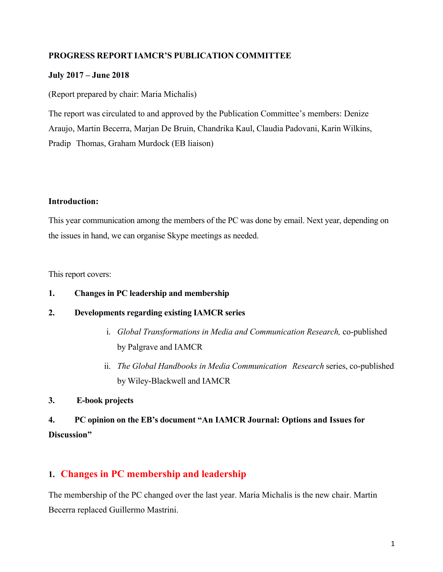### **PROGRESS REPORT IAMCR'S PUBLICATION COMMITTEE**

### **July 2017 – June 2018**

(Report prepared by chair: Maria Michalis)

The report was circulated to and approved by the Publication Committee's members: Denize Araujo, Martin Becerra, Marjan De Bruin, Chandrika Kaul, Claudia Padovani, Karin Wilkins, Pradip Thomas, Graham Murdock (EB liaison)

### **Introduction:**

This year communication among the members of the PC was done by email. Next year, depending on the issues in hand, we can organise Skype meetings as needed.

This report covers:

### **1. Changes in PC leadership and membership**

### **2. Developments regarding existing IAMCR series**

- i. *Global Transformations in Media and Communication Research,* co-published by Palgrave and IAMCR
- ii. *The Global Handbooks in Media Communication Research* series, co-published by Wiley-Blackwell and IAMCR
- **3. E-book projects**

## **4. PC opinion on the EB's document "An IAMCR Journal: Options and Issues for Discussion"**

### **1. Changes in PC membership and leadership**

The membership of the PC changed over the last year. Maria Michalis is the new chair. Martin Becerra replaced Guillermo Mastrini.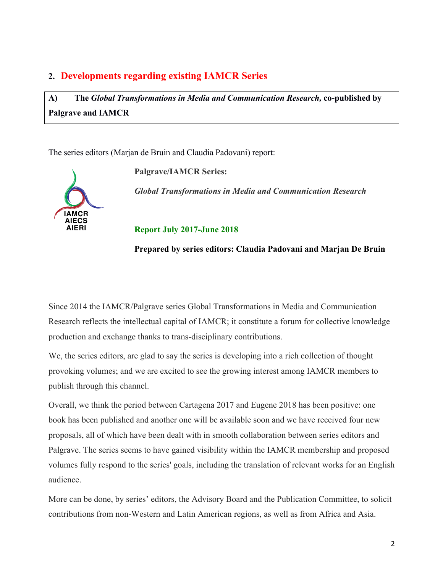### **2. Developments regarding existing IAMCR Series**

**A) The** *Global Transformations in Media and Communication Research,* **co-published by Palgrave and IAMCR**

The series editors (Marjan de Bruin and Claudia Padovani) report:



**Palgrave/IAMCR Series:**

*Global Transformations in Media and Communication Research* 

**Report July 2017-June 2018**

**Prepared by series editors: Claudia Padovani and Marjan De Bruin**

Since 2014 the IAMCR/Palgrave series Global Transformations in Media and Communication Research reflects the intellectual capital of IAMCR; it constitute a forum for collective knowledge production and exchange thanks to trans-disciplinary contributions.

We, the series editors, are glad to say the series is developing into a rich collection of thought provoking volumes; and we are excited to see the growing interest among IAMCR members to publish through this channel.

Overall, we think the period between Cartagena 2017 and Eugene 2018 has been positive: one book has been published and another one will be available soon and we have received four new proposals, all of which have been dealt with in smooth collaboration between series editors and Palgrave. The series seems to have gained visibility within the IAMCR membership and proposed volumes fully respond to the series' goals, including the translation of relevant works for an English audience.

More can be done, by series' editors, the Advisory Board and the Publication Committee, to solicit contributions from non-Western and Latin American regions, as well as from Africa and Asia.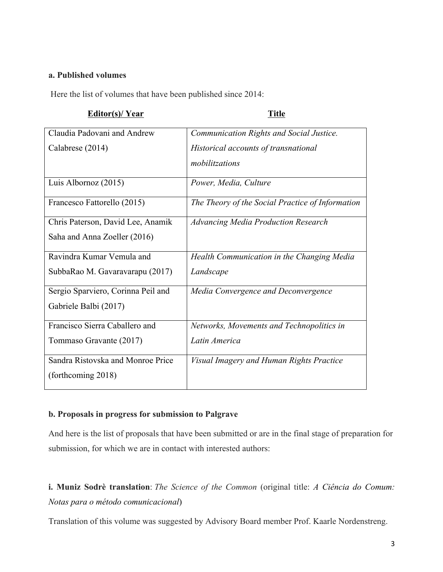### **a. Published volumes**

Here the list of volumes that have been published since 2014:

| Editor(s)/Year | <b>Title</b> |
|----------------|--------------|
|                |              |

| Claudia Padovani and Andrew        | Communication Rights and Social Justice.         |
|------------------------------------|--------------------------------------------------|
| Calabrese (2014)                   | Historical accounts of transnational             |
|                                    | mobilitzations                                   |
| Luis Albornoz $(2015)$             | Power, Media, Culture                            |
| Francesco Fattorello (2015)        | The Theory of the Social Practice of Information |
| Chris Paterson, David Lee, Anamik  | <b>Advancing Media Production Research</b>       |
| Saha and Anna Zoeller (2016)       |                                                  |
| Ravindra Kumar Vemula and          | Health Communication in the Changing Media       |
| SubbaRao M. Gavaravarapu (2017)    | Landscape                                        |
| Sergio Sparviero, Corinna Peil and | Media Convergence and Deconvergence              |
| Gabriele Balbi (2017)              |                                                  |
| Francisco Sierra Caballero and     | Networks, Movements and Technopolitics in        |
| Tommaso Gravante (2017)            | Latin America                                    |
| Sandra Ristovska and Monroe Price  | Visual Imagery and Human Rights Practice         |
| (forthcoming 2018)                 |                                                  |

### **b. Proposals in progress for submission to Palgrave**

And here is the list of proposals that have been submitted or are in the final stage of preparation for submission, for which we are in contact with interested authors:

**i. Muniz Sodrè translation**: *The Science of the Common* (original title: *A Ciência do Comum: Notas para o método comunicacional*)

Translation of this volume was suggested by Advisory Board member Prof. Kaarle Nordenstreng.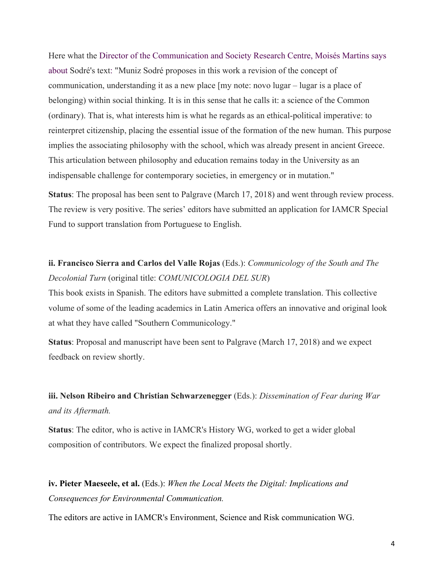Here what the Director of the Communication and Society Research Centre, Moisés Martins says about Sodré's text: "Muniz Sodré proposes in this work a revision of the concept of communication, understanding it as a new place [my note: novo lugar – lugar is a place of belonging) within social thinking. It is in this sense that he calls it: a science of the Common (ordinary). That is, what interests him is what he regards as an ethical-political imperative: to reinterpret citizenship, placing the essential issue of the formation of the new human. This purpose implies the associating philosophy with the school, which was already present in ancient Greece. This articulation between philosophy and education remains today in the University as an indispensable challenge for contemporary societies, in emergency or in mutation."

**Status**: The proposal has been sent to Palgrave (March 17, 2018) and went through review process. The review is very positive. The series' editors have submitted an application for IAMCR Special Fund to support translation from Portuguese to English.

### **ii. Francisco Sierra and Carlos del Valle Rojas** (Eds.): *Communicology of the South and The Decolonial Turn* (original title: *COMUNICOLOGIA DEL SUR*)

This book exists in Spanish. The editors have submitted a complete translation. This collective volume of some of the leading academics in Latin America offers an innovative and original look at what they have called "Southern Communicology."

**Status**: Proposal and manuscript have been sent to Palgrave (March 17, 2018) and we expect feedback on review shortly.

### **iii. Nelson Ribeiro and Christian Schwarzenegger** (Eds.): *Dissemination of Fear during War and its Aftermath.*

**Status**: The editor, who is active in IAMCR's History WG, worked to get a wider global composition of contributors. We expect the finalized proposal shortly.

**iv. Pieter Maeseele, et al.** (Eds.): *When the Local Meets the Digital: Implications and Consequences for Environmental Communication.*

The editors are active in IAMCR's Environment, Science and Risk communication WG.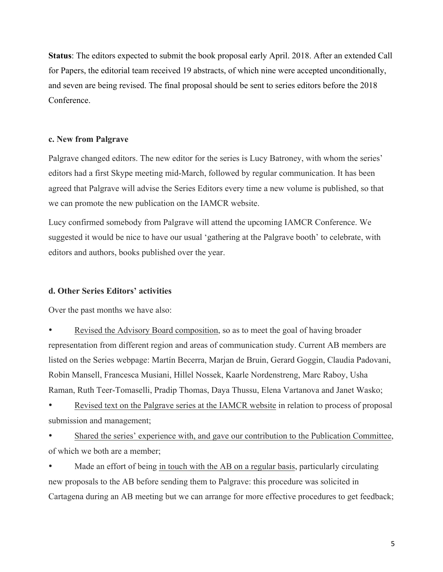**Status**: The editors expected to submit the book proposal early April. 2018. After an extended Call for Papers, the editorial team received 19 abstracts, of which nine were accepted unconditionally, and seven are being revised. The final proposal should be sent to series editors before the 2018 Conference.

### **c. New from Palgrave**

Palgrave changed editors. The new editor for the series is Lucy Batroney, with whom the series' editors had a first Skype meeting mid-March, followed by regular communication. It has been agreed that Palgrave will advise the Series Editors every time a new volume is published, so that we can promote the new publication on the IAMCR website.

Lucy confirmed somebody from Palgrave will attend the upcoming IAMCR Conference. We suggested it would be nice to have our usual 'gathering at the Palgrave booth' to celebrate, with editors and authors, books published over the year.

#### **d. Other Series Editors' activities**

Over the past months we have also:

• Revised the Advisory Board composition, so as to meet the goal of having broader representation from different region and areas of communication study. Current AB members are listed on the Series webpage: Martín Becerra, Marjan de Bruin, Gerard Goggin, Claudia Padovani, Robin Mansell, Francesca Musiani, Hillel Nossek, Kaarle Nordenstreng, Marc Raboy, Usha Raman, Ruth Teer-Tomaselli, Pradip Thomas, Daya Thussu, Elena Vartanova and Janet Wasko;

Revised text on the Palgrave series at the IAMCR website in relation to process of proposal submission and management;

Shared the series' experience with, and gave our contribution to the Publication Committee, of which we both are a member;

Made an effort of being in touch with the AB on a regular basis, particularly circulating new proposals to the AB before sending them to Palgrave: this procedure was solicited in Cartagena during an AB meeting but we can arrange for more effective procedures to get feedback;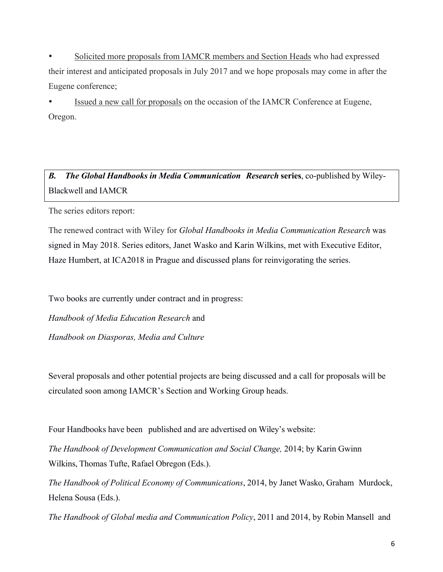• Solicited more proposals from IAMCR members and Section Heads who had expressed their interest and anticipated proposals in July 2017 and we hope proposals may come in after the Eugene conference;

Issued a new call for proposals on the occasion of the IAMCR Conference at Eugene, Oregon.

*B. The Global Handbooks in Media Communication Research* **series**, co-published by Wiley-Blackwell and IAMCR

The series editors report:

The renewed contract with Wiley for *Global Handbooks in Media Communication Research* was signed in May 2018. Series editors, Janet Wasko and Karin Wilkins, met with Executive Editor, Haze Humbert, at ICA2018 in Prague and discussed plans for reinvigorating the series.

Two books are currently under contract and in progress:

*Handbook of Media Education Research* and

*Handbook on Diasporas, Media and Culture*

Several proposals and other potential projects are being discussed and a call for proposals will be circulated soon among IAMCR's Section and Working Group heads.

Four Handbooks have been published and are advertised on Wiley's website:

*The Handbook of Development Communication and Social Change,* 2014; by Karin Gwinn Wilkins, Thomas Tufte, Rafael Obregon (Eds.).

*The Handbook of Political Economy of Communications*, 2014, by Janet Wasko, Graham Murdock, Helena Sousa (Eds.).

*The Handbook of Global media and Communication Policy*, 2011 and 2014, by Robin Mansell and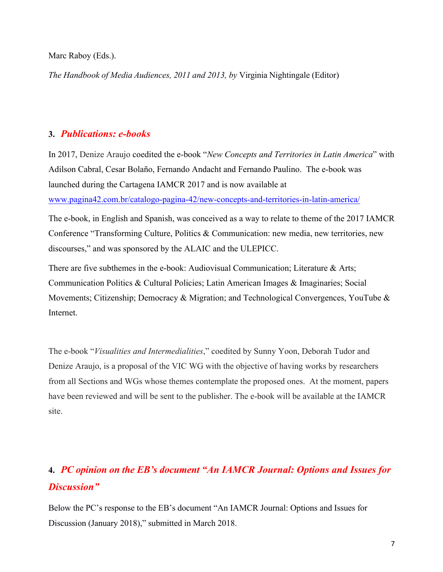Marc Raboy (Eds.).

*The Handbook of Media Audiences, 2011 and 2013, by* Virginia Nightingale (Editor)

### **3.** *Publications: e-books*

In 2017, Denize Araujo coedited the e-book "*New Concepts and Territories in Latin America*" with Adilson Cabral, Cesar Bolaño, Fernando Andacht and Fernando Paulino. The e-book was launched during the Cartagena IAMCR 2017 and is now available at www.pagina42.com.br/catalogo-pagina-42/new-concepts-and-territories-in-latin-america/

The e-book, in English and Spanish, was conceived as a way to relate to theme of the 2017 IAMCR Conference "Transforming Culture, Politics & Communication: new media, new territories, new discourses," and was sponsored by the ALAIC and the ULEPICC.

There are five subthemes in the e-book: Audiovisual Communication; Literature & Arts; Communication Politics & Cultural Policies; Latin American Images & Imaginaries; Social Movements; Citizenship; Democracy & Migration; and Technological Convergences, YouTube & Internet.

The e-book "*Visualities and Intermedialities*," coedited by Sunny Yoon, Deborah Tudor and Denize Araujo, is a proposal of the VIC WG with the objective of having works by researchers from all Sections and WGs whose themes contemplate the proposed ones. At the moment, papers have been reviewed and will be sent to the publisher. The e-book will be available at the IAMCR site.

# **4.** *PC opinion on the EB's document "An IAMCR Journal: Options and Issues for Discussion"*

Below the PC's response to the EB's document "An IAMCR Journal: Options and Issues for Discussion (January 2018)," submitted in March 2018.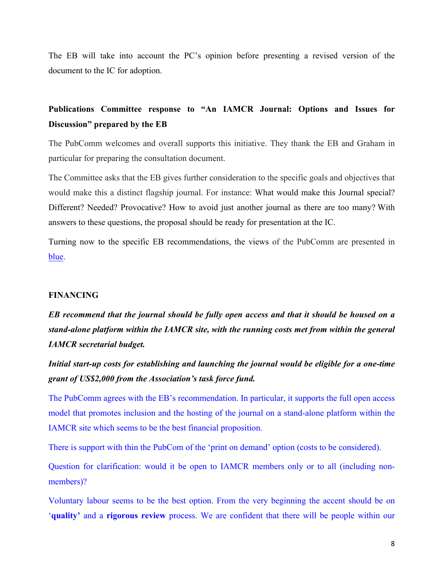The EB will take into account the PC's opinion before presenting a revised version of the document to the IC for adoption.

### **Publications Committee response to "An IAMCR Journal: Options and Issues for Discussion" prepared by the EB**

The PubComm welcomes and overall supports this initiative. They thank the EB and Graham in particular for preparing the consultation document.

The Committee asks that the EB gives further consideration to the specific goals and objectives that would make this a distinct flagship journal. For instance: What would make this Journal special? Different? Needed? Provocative? How to avoid just another journal as there are too many? With answers to these questions, the proposal should be ready for presentation at the IC.

Turning now to the specific EB recommendations, the views of the PubComm are presented in blue.

#### **FINANCING**

*EB recommend that the journal should be fully open access and that it should be housed on a stand-alone platform within the IAMCR site, with the running costs met from within the general IAMCR secretarial budget.*

*Initial start-up costs for establishing and launching the journal would be eligible for a one-time grant of US\$2,000 from the Association's task force fund.*

The PubComm agrees with the EB's recommendation. In particular, it supports the full open access model that promotes inclusion and the hosting of the journal on a stand-alone platform within the IAMCR site which seems to be the best financial proposition.

There is support with thin the PubCom of the 'print on demand' option (costs to be considered).

Question for clarification: would it be open to IAMCR members only or to all (including nonmembers)?

Voluntary labour seems to be the best option. From the very beginning the accent should be on '**quality'** and a **rigorous review** process. We are confident that there will be people within our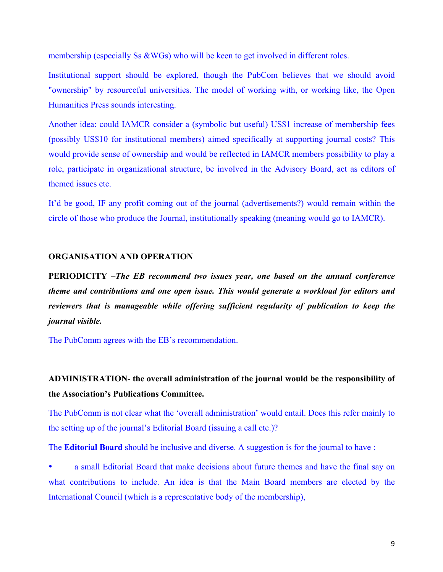membership (especially Ss &WGs) who will be keen to get involved in different roles.

Institutional support should be explored, though the PubCom believes that we should avoid "ownership" by resourceful universities. The model of working with, or working like, the Open Humanities Press sounds interesting.

Another idea: could IAMCR consider a (symbolic but useful) US\$1 increase of membership fees (possibly US\$10 for institutional members) aimed specifically at supporting journal costs? This would provide sense of ownership and would be reflected in IAMCR members possibility to play a role, participate in organizational structure, be involved in the Advisory Board, act as editors of themed issues etc.

It'd be good, IF any profit coming out of the journal (advertisements?) would remain within the circle of those who produce the Journal, institutionally speaking (meaning would go to IAMCR).

#### **ORGANISATION AND OPERATION**

**PERIODICITY** –*The EB recommend two issues year, one based on the annual conference theme and contributions and one open issue. This would generate a workload for editors and reviewers that is manageable while offering sufficient regularity of publication to keep the journal visible.*

The PubComm agrees with the EB's recommendation.

### **ADMINISTRATION**- **the overall administration of the journal would be the responsibility of the Association's Publications Committee.**

The PubComm is not clear what the 'overall administration' would entail. Does this refer mainly to the setting up of the journal's Editorial Board (issuing a call etc.)?

The **Editorial Board** should be inclusive and diverse. A suggestion is for the journal to have :

• a small Editorial Board that make decisions about future themes and have the final say on what contributions to include. An idea is that the Main Board members are elected by the International Council (which is a representative body of the membership),